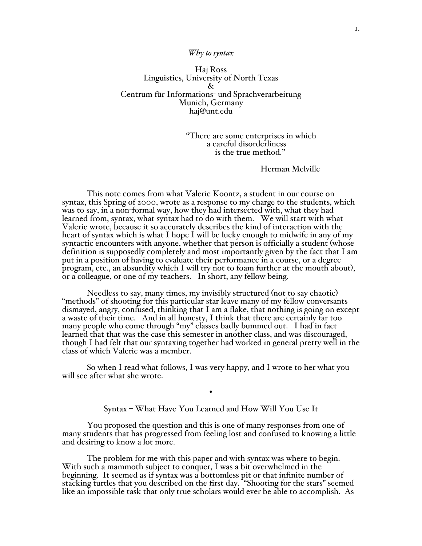## *Why to syntax*

Haj Ross Linguistics, University of North Texas & Centrum für Informations- und Sprachverarbeitung Munich, Germany haj@unt.edu

> "There are some enterprises in which a careful disorderliness is the true method."

> > Herman Melville

This note comes from what Valerie Koontz, a student in our course on syntax, this Spring of 2000, wrote as a response to my charge to the students, which was to say, in a non-formal way, how they had intersected with, what they had learned from, syntax, what syntax had to do with them. We will start with what Valerie wrote, because it so accurately describes the kind of interaction with the heart of syntax which is what I hope I will be lucky enough to midwife in any of my syntactic encounters with anyone, whether that person is officially a student (whose definition is supposedly completely and most importantly given by the fact that I am put in a position of having to evaluate their performance in a course, or a degree program, etc., an absurdity which I will try not to foam further at the mouth about), or a colleague, or one of my teachers. In short, any fellow being.

Needless to say, many times, my invisibly structured (not to say chaotic) "methods" of shooting for this particular star leave many of my fellow conversants dismayed, angry, confused, thinking that I am a flake, that nothing is going on except a waste of their time. And in all honesty, I think that there are certainly far too many people who come through "my" classes badly bummed out. I had in fact learned that that was the case this semester in another class, and was discouraged, though I had felt that our syntaxing together had worked in general pretty well in the class of which Valerie was a member.

So when I read what follows, I was very happy, and I wrote to her what you will see after what she wrote.

Syntax – What Have You Learned and How Will You Use It

•

You proposed the question and this is one of many responses from one of many students that has progressed from feeling lost and confused to knowing a little and desiring to know a lot more.

The problem for me with this paper and with syntax was where to begin. With such a mammoth subject to conquer, I was a bit overwhelmed in the beginning. It seemed as if syntax was a bottomless pit or that infinite number of stacking turtles that you described on the first day. "Shooting for the stars" seemed like an impossible task that only true scholars would ever be able to accomplish. As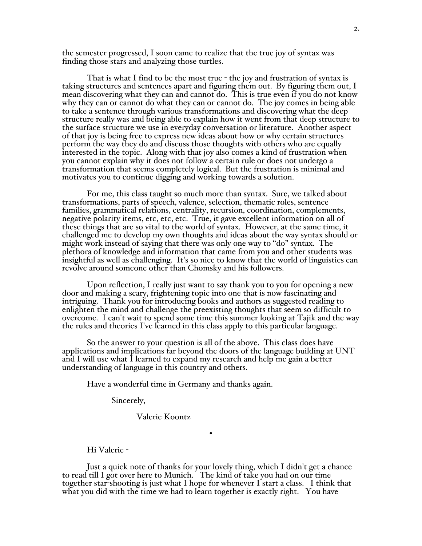the semester progressed, I soon came to realize that the true joy of syntax was finding those stars and analyzing those turtles.

That is what I find to be the most true - the joy and frustration of syntax is taking structures and sentences apart and figuring them out. By figuring them out, I mean discovering what they can and cannot do. This is true even if you do not know why they can or cannot do what they can or cannot do. The joy comes in being able to take a sentence through various transformations and discovering what the deep structure really was and being able to explain how it went from that deep structure to the surface structure we use in everyday conversation or literature. Another aspect of that joy is being free to express new ideas about how or why certain structures perform the way they do and discuss those thoughts with others who are equally interested in the topic. Along with that joy also comes a kind of frustration when you cannot explain why it does not follow a certain rule or does not undergo a transformation that seems completely logical. But the frustration is minimal and motivates you to continue digging and working towards a solution.

For me, this class taught so much more than syntax. Sure, we talked about transformations, parts of speech, valence, selection, thematic roles, sentence families, grammatical relations, centrality, recursion, coordination, complements, negative polarity items, etc, etc, etc. True, it gave excellent information on all of these things that are so vital to the world of syntax. However, at the same time, it challenged me to develop my own thoughts and ideas about the way syntax should or might work instead of saying that there was only one way to "do" syntax. The plethora of knowledge and information that came from you and other students was insightful as well as challenging. It's so nice to know that the world of linguistics can revolve around someone other than Chomsky and his followers.

Upon reflection, I really just want to say thank you to you for opening a new door and making a scary, frightening topic into one that is now fascinating and intriguing. Thank you for introducing books and authors as suggested reading to enlighten the mind and challenge the preexisting thoughts that seem so difficult to overcome. I can't wait to spend some time this summer looking at Tajik and the way the rules and theories I've learned in this class apply to this particular language.

So the answer to your question is all of the above. This class does have applications and implications far beyond the doors of the language building at UNT and I will use what I learned to expand my research and help me gain a better understanding of language in this country and others.

Have a wonderful time in Germany and thanks again.

Sincerely,

Valerie Koontz

Hi Valerie -

Just a quick note of thanks for your lovely thing, which I didn't get a chance to read till I got over here to Munich. The kind of take you had on our time together star-shooting is just what I hope for whenever I start a class. I think that what you did with the time we had to learn together is exactly right. You have

•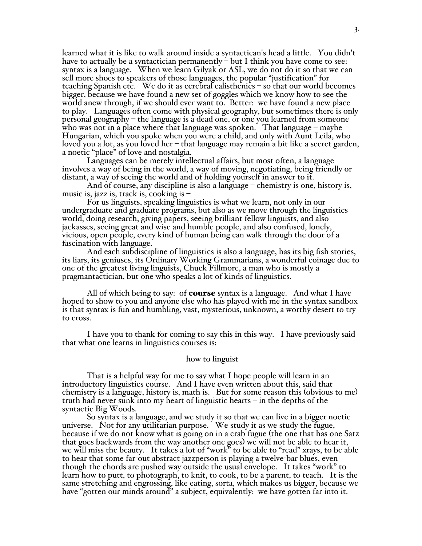learned what it is like to walk around inside a syntactican's head a little. You didn't have to actually be a syntactician permanently – but I think you have come to see: syntax is a language. When we learn Gilyak or ASL, we do not do it so that we can sell more shoes to speakers of those languages, the popular "justification" for teaching Spanish etc. We do it as cerebral calisthenics – so that our world becomes bigger, because we have found a new set of goggles which we know how to see the world anew through, if we should ever want to. Better: we have found a new place to play. Languages often come with physical geography, but sometimes there is only personal geography – the language is a dead one, or one you learned from someone who was not in a place where that language was spoken. That language – maybe Hungarian, which you spoke when you were a child, and only with Aunt Leila, who loved you a lot, as you loved her – that language may remain a bit like a secret garden, a noetic "place" of love and nostalgia.

Languages can be merely intellectual affairs, but most often, a language involves a way of being in the world, a way of moving, negotiating, being friendly or distant, a way of seeing the world and of holding yourself in answer to it.

And of course, any discipline is also a language – chemistry is one, history is, music is, jazz is, track is, cooking is –

For us linguists, speaking linguistics is what we learn, not only in our undergraduate and graduate programs, but also as we move through the linguistics world, doing research, giving papers, seeing brilliant fellow linguists, and also jackasses, seeing great and wise and humble people, and also confused, lonely, vicious, open people, every kind of human being can walk through the door of a fascination with language.

And each subdiscipline of linguistics is also a language, has its big fish stories, its liars, its geniuses, its Ordinary Working Grammarians, a wonderful coinage due to one of the greatest living linguists, Chuck Fillmore, a man who is mostly a pragmantactician, but one who speaks a lot of kinds of linguistics.

All of which being to say: of **course** syntax is a language. And what I have hoped to show to you and anyone else who has played with me in the syntax sandbox is that syntax is fun and humbling, vast, mysterious, unknown, a worthy desert to try to cross.

I have you to thank for coming to say this in this way. I have previously said that what one learns in linguistics courses is:

## how to linguist

That is a helpful way for me to say what I hope people will learn in an introductory linguistics course. And I have even written about this, said that chemistry is a language, history is, math is. But for some reason this (obvious to me) truth had never sunk into my heart of linguistic hearts – in the depths of the syntactic Big Woods.

So syntax is a language, and we study it so that we can live in a bigger noetic universe. Not for any utilitarian purpose. We study it as we study the fugue, because if we do not know what is going on in a crab fugue (the one that has one Satz that goes backwards from the way another one goes) we will not be able to hear it, we will miss the beauty. It takes a lot of "work" to be able to "read" xrays, to be able to hear that some far-out abstract jazzperson is playing a twelve-bar blues, even though the chords are pushed way outside the usual envelope. It takes "work" to learn how to putt, to photograph, to knit, to cook, to be a parent, to teach. It is the same stretching and engrossing, like eating, sorta, which makes us bigger, because we have "gotten our minds around" a subject, equivalently: we have gotten far into it.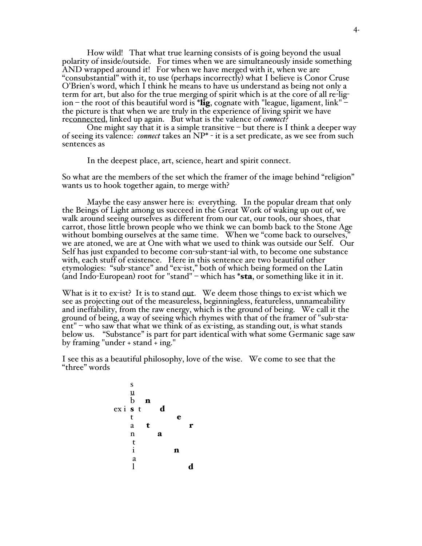How wild! That what true learning consists of is going beyond the usual polarity of inside/outside. For times when we are simultaneously inside something AND wrapped around it! For when we have merged with it, when we are "consubstantial" with it, to use (perhaps incorrectly) what I believe is Conor Cruse O'Brien's word, which I think he means to have us understand as being not only a term for art, but also for the true merging of spirit which is at the core of all re-ligion – the root of this beautiful word is \*lig, cognate with "league, ligament, link" – the picture is that when we are truly in the experience of living spirit we have reconnected, linked up again. But what is the valence of *connect*?

One might say that it is a simple transitive – but there is I think a deeper way of seeing its valence: *connect* takes an NP\* - it is a set predicate, as we see from such sentences as

In the deepest place, art, science, heart and spirit connect.

So what are the members of the set which the framer of the image behind "religion" wants us to hook together again, to merge with?

Maybe the easy answer here is: everything. In the popular dream that only the Beings of Light among us succeed in the Great Work of waking up out of, we walk around seeing ourselves as different from our cat, our tools, our shoes, that carrot, those little brown people who we think we can bomb back to the Stone Age without bombing ourselves at the same time. When we "come back to ourselves," we are atoned, we are at One with what we used to think was outside our Self. Our Self has just expanded to become con-sub-stant-ial with, to become one substance with, each stuff of existence. Here in this sentence are two beautiful other etymologies: "sub-stance" and "ex-ist," both of which being formed on the Latin (and Indo-European) root for "stand" – which has \***sta**, or something like it in it.

What is it to ex-ist? It is to stand out. We deem those things to ex-ist which we see as projecting out of the measureless, beginningless, featureless, unnameability and ineffability, from the raw energy, which is the ground of being. We call it the ground of being, a way of seeing which rhymes with that of the framer of "sub-staent" – who saw that what we think of as ex-isting, as standing out, is what stands below us. "Substance" is part for part identical with what some Germanic sage saw by framing "under + stand + ing."

I see this as a beautiful philosophy, love of the wise. We come to see that the "three" words